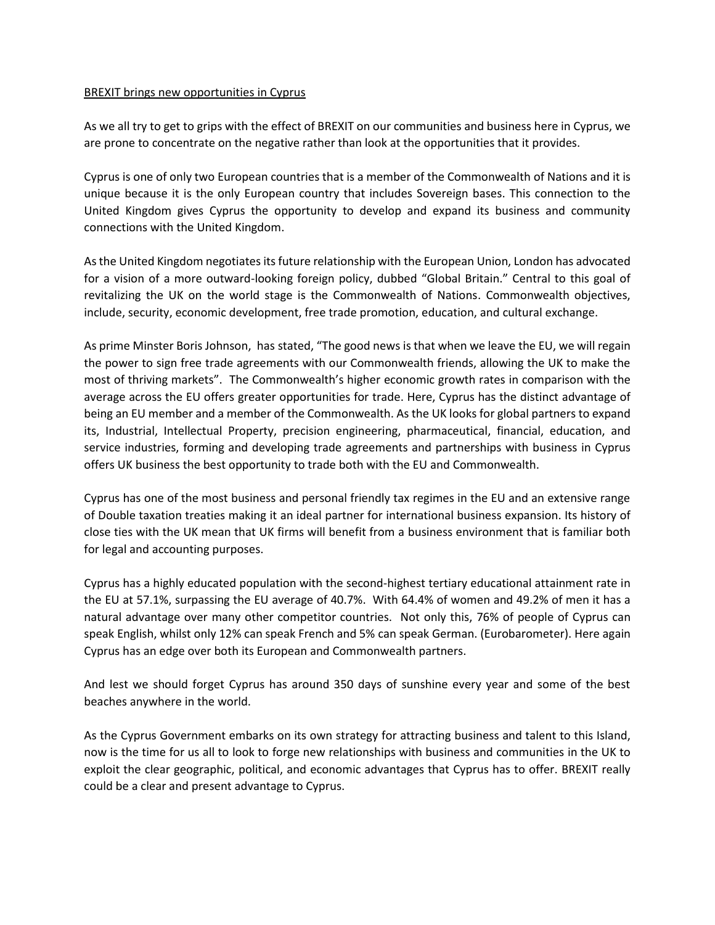## BREXIT brings new opportunities in Cyprus

As we all try to get to grips with the effect of BREXIT on our communities and business here in Cyprus, we are prone to concentrate on the negative rather than look at the opportunities that it provides.

Cyprus is one of only two European countries that is a member of the Commonwealth of Nations and it is unique because it is the only European country that includes Sovereign bases. This connection to the United Kingdom gives Cyprus the opportunity to develop and expand its business and community connections with the United Kingdom.

As the United Kingdom negotiates its future relationship with the European Union, London has advocated for a vision of a more outward-looking foreign policy, dubbed "Global Britain." Central to this goal of revitalizing the UK on the world stage is the Commonwealth of Nations. Commonwealth objectives, include, security, economic development, free trade promotion, education, and cultural exchange.

As prime Minster Boris Johnson, has stated, "[The good news is that when we leave the EU, we will regain](https://www.express.co.uk/news/politics/929977/Boris-Johnson-Commonwealth-key-role-bright-future-Brexit-Britain)  [the power to sign free trade agreements with our Commonwealth friends, allowing the UK to make the](https://www.express.co.uk/news/politics/929977/Boris-Johnson-Commonwealth-key-role-bright-future-Brexit-Britain)  [most of thriving markets](https://www.express.co.uk/news/politics/929977/Boris-Johnson-Commonwealth-key-role-bright-future-Brexit-Britain)". The Commonwealth's higher economic growth rates in comparison with the average across the EU offers greater opportunities for trade. Here, Cyprus has the distinct advantage of being an EU member and a member of the Commonwealth. As the UK looks for global partners to expand its, Industrial, Intellectual Property, precision engineering, pharmaceutical, financial, education, and service industries, forming and developing trade agreements and partnerships with business in Cyprus offers UK business the best opportunity to trade both with the EU and Commonwealth.

Cyprus has one of the most business and personal friendly tax regimes in the EU and an extensive range of Double taxation treaties making it an ideal partner for international business expansion. Its history of close ties with the UK mean that UK firms will benefit from a business environment that is familiar both for legal and accounting purposes.

Cyprus has a highly educated population with the second-highest tertiary educational attainment rate in the EU at 57.1%, surpassing the EU average of 40.7%. With 64.4% of women and 49.2% of men it has a natural advantage over many other competitor countries. Not only this, 76% of people of Cyprus can speak English, whilst only 12% can speak French and 5% can speak German. (Eurobarometer). Here again Cyprus has an edge over both its European and Commonwealth partners.

And lest we should forget Cyprus has around 350 days of sunshine every year and some of the best beaches anywhere in the world.

As the Cyprus Government embarks on its own strategy for attracting business and talent to this Island, now is the time for us all to look to forge new relationships with business and communities in the UK to exploit the clear geographic, political, and economic advantages that Cyprus has to offer. BREXIT really could be a clear and present advantage to Cyprus.